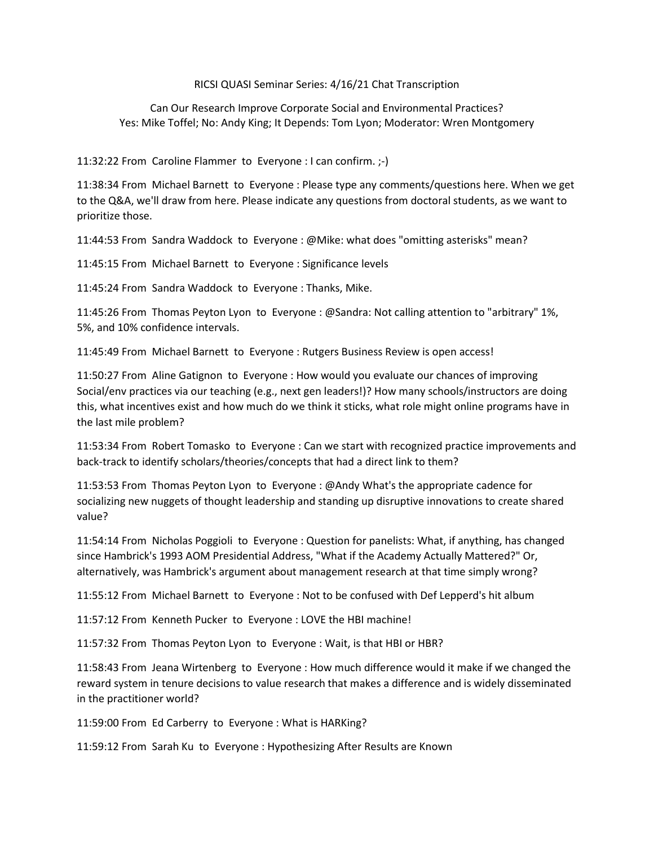## RICSI QUASI Seminar Series: 4/16/21 Chat Transcription

## Can Our Research Improve Corporate Social and Environmental Practices? Yes: Mike Toffel; No: Andy King; It Depends: Tom Lyon; Moderator: Wren Montgomery

11:32:22 From Caroline Flammer to Everyone : I can confirm. ;-)

11:38:34 From Michael Barnett to Everyone : Please type any comments/questions here. When we get to the Q&A, we'll draw from here. Please indicate any questions from doctoral students, as we want to prioritize those.

11:44:53 From Sandra Waddock to Everyone : @Mike: what does "omitting asterisks" mean?

11:45:15 From Michael Barnett to Everyone : Significance levels

11:45:24 From Sandra Waddock to Everyone : Thanks, Mike.

11:45:26 From Thomas Peyton Lyon to Everyone : @Sandra: Not calling attention to "arbitrary" 1%, 5%, and 10% confidence intervals.

11:45:49 From Michael Barnett to Everyone : Rutgers Business Review is open access!

11:50:27 From Aline Gatignon to Everyone : How would you evaluate our chances of improving Social/env practices via our teaching (e.g., next gen leaders!)? How many schools/instructors are doing this, what incentives exist and how much do we think it sticks, what role might online programs have in the last mile problem?

11:53:34 From Robert Tomasko to Everyone : Can we start with recognized practice improvements and back-track to identify scholars/theories/concepts that had a direct link to them?

11:53:53 From Thomas Peyton Lyon to Everyone : @Andy What's the appropriate cadence for socializing new nuggets of thought leadership and standing up disruptive innovations to create shared value?

11:54:14 From Nicholas Poggioli to Everyone : Question for panelists: What, if anything, has changed since Hambrick's 1993 AOM Presidential Address, "What if the Academy Actually Mattered?" Or, alternatively, was Hambrick's argument about management research at that time simply wrong?

11:55:12 From Michael Barnett to Everyone : Not to be confused with Def Lepperd's hit album

11:57:12 From Kenneth Pucker to Everyone : LOVE the HBI machine!

11:57:32 From Thomas Peyton Lyon to Everyone : Wait, is that HBI or HBR?

11:58:43 From Jeana Wirtenberg to Everyone : How much difference would it make if we changed the reward system in tenure decisions to value research that makes a difference and is widely disseminated in the practitioner world?

11:59:00 From Ed Carberry to Everyone : What is HARKing?

11:59:12 From Sarah Ku to Everyone : Hypothesizing After Results are Known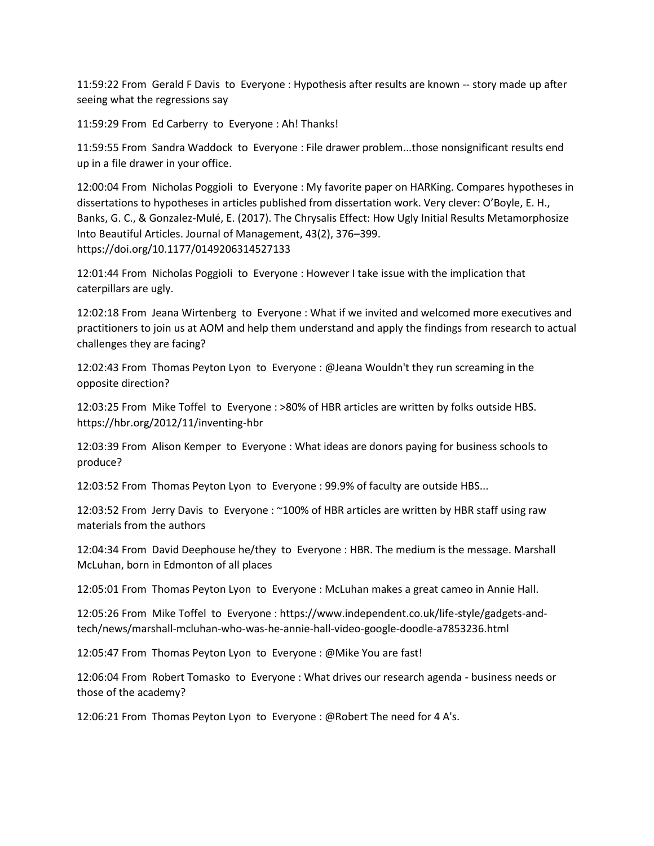11:59:22 From Gerald F Davis to Everyone : Hypothesis after results are known -- story made up after seeing what the regressions say

11:59:29 From Ed Carberry to Everyone : Ah! Thanks!

11:59:55 From Sandra Waddock to Everyone : File drawer problem...those nonsignificant results end up in a file drawer in your office.

12:00:04 From Nicholas Poggioli to Everyone : My favorite paper on HARKing. Compares hypotheses in dissertations to hypotheses in articles published from dissertation work. Very clever: O'Boyle, E. H., Banks, G. C., & Gonzalez-Mulé, E. (2017). The Chrysalis Effect: How Ugly Initial Results Metamorphosize Into Beautiful Articles. Journal of Management, 43(2), 376–399. https://doi.org/10.1177/0149206314527133

12:01:44 From Nicholas Poggioli to Everyone : However I take issue with the implication that caterpillars are ugly.

12:02:18 From Jeana Wirtenberg to Everyone : What if we invited and welcomed more executives and practitioners to join us at AOM and help them understand and apply the findings from research to actual challenges they are facing?

12:02:43 From Thomas Peyton Lyon to Everyone : @Jeana Wouldn't they run screaming in the opposite direction?

12:03:25 From Mike Toffel to Everyone : >80% of HBR articles are written by folks outside HBS. https://hbr.org/2012/11/inventing-hbr

12:03:39 From Alison Kemper to Everyone : What ideas are donors paying for business schools to produce?

12:03:52 From Thomas Peyton Lyon to Everyone : 99.9% of faculty are outside HBS...

12:03:52 From Jerry Davis to Everyone : ~100% of HBR articles are written by HBR staff using raw materials from the authors

12:04:34 From David Deephouse he/they to Everyone : HBR. The medium is the message. Marshall McLuhan, born in Edmonton of all places

12:05:01 From Thomas Peyton Lyon to Everyone : McLuhan makes a great cameo in Annie Hall.

12:05:26 From Mike Toffel to Everyone : https://www.independent.co.uk/life-style/gadgets-andtech/news/marshall-mcluhan-who-was-he-annie-hall-video-google-doodle-a7853236.html

12:05:47 From Thomas Peyton Lyon to Everyone : @Mike You are fast!

12:06:04 From Robert Tomasko to Everyone : What drives our research agenda - business needs or those of the academy?

12:06:21 From Thomas Peyton Lyon to Everyone : @Robert The need for 4 A's.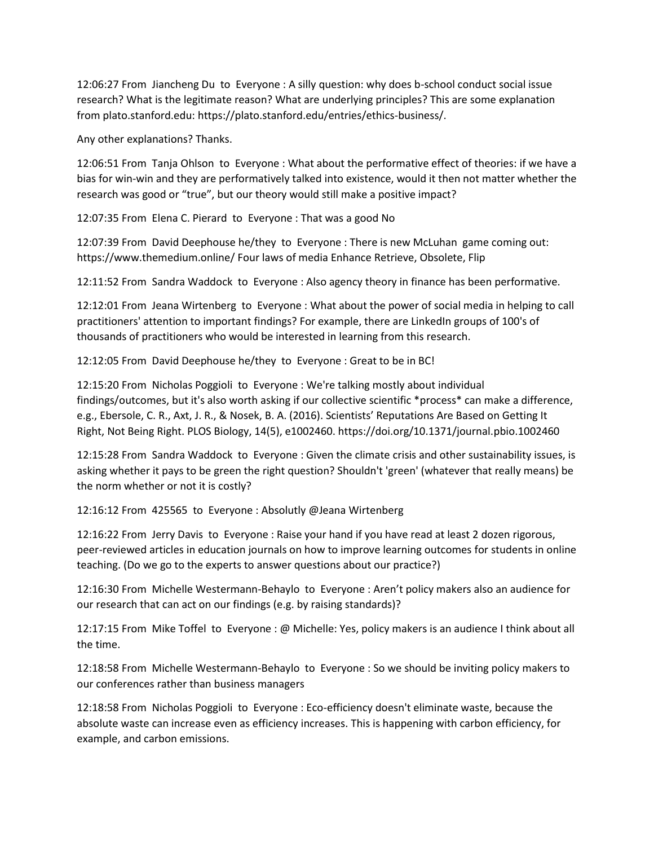12:06:27 From Jiancheng Du to Everyone : A silly question: why does b-school conduct social issue research? What is the legitimate reason? What are underlying principles? This are some explanation from plato.stanford.edu: https://plato.stanford.edu/entries/ethics-business/.

Any other explanations? Thanks.

12:06:51 From Tanja Ohlson to Everyone : What about the performative effect of theories: if we have a bias for win-win and they are performatively talked into existence, would it then not matter whether the research was good or "true", but our theory would still make a positive impact?

12:07:35 From Elena C. Pierard to Everyone : That was a good No

12:07:39 From David Deephouse he/they to Everyone : There is new McLuhan game coming out: https://www.themedium.online/ Four laws of media Enhance Retrieve, Obsolete, Flip

12:11:52 From Sandra Waddock to Everyone : Also agency theory in finance has been performative.

12:12:01 From Jeana Wirtenberg to Everyone : What about the power of social media in helping to call practitioners' attention to important findings? For example, there are LinkedIn groups of 100's of thousands of practitioners who would be interested in learning from this research.

12:12:05 From David Deephouse he/they to Everyone : Great to be in BC!

12:15:20 From Nicholas Poggioli to Everyone : We're talking mostly about individual findings/outcomes, but it's also worth asking if our collective scientific \*process\* can make a difference, e.g., Ebersole, C. R., Axt, J. R., & Nosek, B. A. (2016). Scientists' Reputations Are Based on Getting It Right, Not Being Right. PLOS Biology, 14(5), e1002460. https://doi.org/10.1371/journal.pbio.1002460

12:15:28 From Sandra Waddock to Everyone : Given the climate crisis and other sustainability issues, is asking whether it pays to be green the right question? Shouldn't 'green' (whatever that really means) be the norm whether or not it is costly?

12:16:12 From 425565 to Everyone : Absolutly @Jeana Wirtenberg

12:16:22 From Jerry Davis to Everyone : Raise your hand if you have read at least 2 dozen rigorous, peer-reviewed articles in education journals on how to improve learning outcomes for students in online teaching. (Do we go to the experts to answer questions about our practice?)

12:16:30 From Michelle Westermann-Behaylo to Everyone : Aren't policy makers also an audience for our research that can act on our findings (e.g. by raising standards)?

12:17:15 From Mike Toffel to Everyone : @ Michelle: Yes, policy makers is an audience I think about all the time.

12:18:58 From Michelle Westermann-Behaylo to Everyone : So we should be inviting policy makers to our conferences rather than business managers

12:18:58 From Nicholas Poggioli to Everyone : Eco-efficiency doesn't eliminate waste, because the absolute waste can increase even as efficiency increases. This is happening with carbon efficiency, for example, and carbon emissions.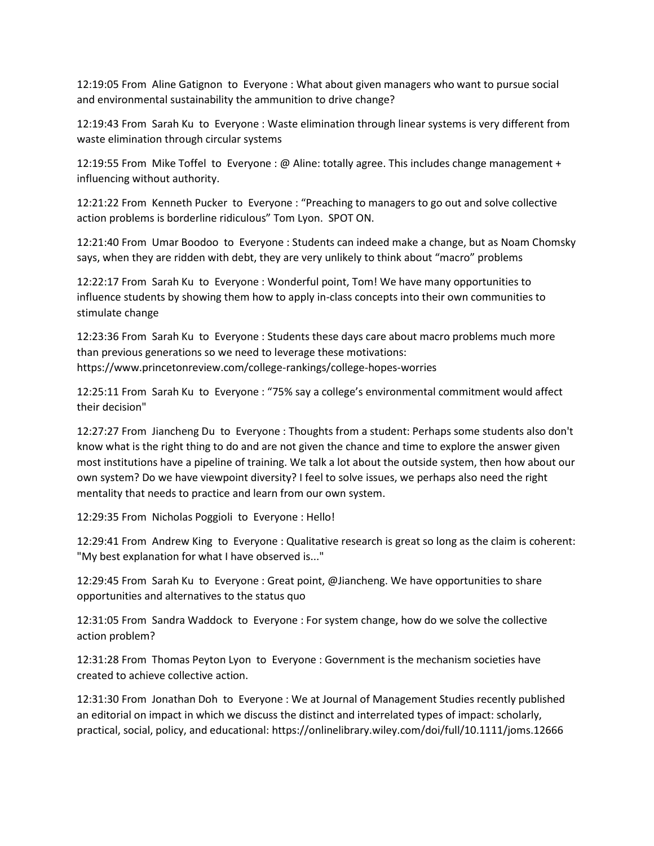12:19:05 From Aline Gatignon to Everyone : What about given managers who want to pursue social and environmental sustainability the ammunition to drive change?

12:19:43 From Sarah Ku to Everyone : Waste elimination through linear systems is very different from waste elimination through circular systems

12:19:55 From Mike Toffel to Everyone : @ Aline: totally agree. This includes change management + influencing without authority.

12:21:22 From Kenneth Pucker to Everyone : "Preaching to managers to go out and solve collective action problems is borderline ridiculous" Tom Lyon. SPOT ON.

12:21:40 From Umar Boodoo to Everyone : Students can indeed make a change, but as Noam Chomsky says, when they are ridden with debt, they are very unlikely to think about "macro" problems

12:22:17 From Sarah Ku to Everyone : Wonderful point, Tom! We have many opportunities to influence students by showing them how to apply in-class concepts into their own communities to stimulate change

12:23:36 From Sarah Ku to Everyone : Students these days care about macro problems much more than previous generations so we need to leverage these motivations: https://www.princetonreview.com/college-rankings/college-hopes-worries

12:25:11 From Sarah Ku to Everyone : "75% say a college's environmental commitment would affect their decision"

12:27:27 From Jiancheng Du to Everyone : Thoughts from a student: Perhaps some students also don't know what is the right thing to do and are not given the chance and time to explore the answer given most institutions have a pipeline of training. We talk a lot about the outside system, then how about our own system? Do we have viewpoint diversity? I feel to solve issues, we perhaps also need the right mentality that needs to practice and learn from our own system.

12:29:35 From Nicholas Poggioli to Everyone : Hello!

12:29:41 From Andrew King to Everyone : Qualitative research is great so long as the claim is coherent: "My best explanation for what I have observed is..."

12:29:45 From Sarah Ku to Everyone : Great point, @Jiancheng. We have opportunities to share opportunities and alternatives to the status quo

12:31:05 From Sandra Waddock to Everyone : For system change, how do we solve the collective action problem?

12:31:28 From Thomas Peyton Lyon to Everyone : Government is the mechanism societies have created to achieve collective action.

12:31:30 From Jonathan Doh to Everyone : We at Journal of Management Studies recently published an editorial on impact in which we discuss the distinct and interrelated types of impact: scholarly, practical, social, policy, and educational: https://onlinelibrary.wiley.com/doi/full/10.1111/joms.12666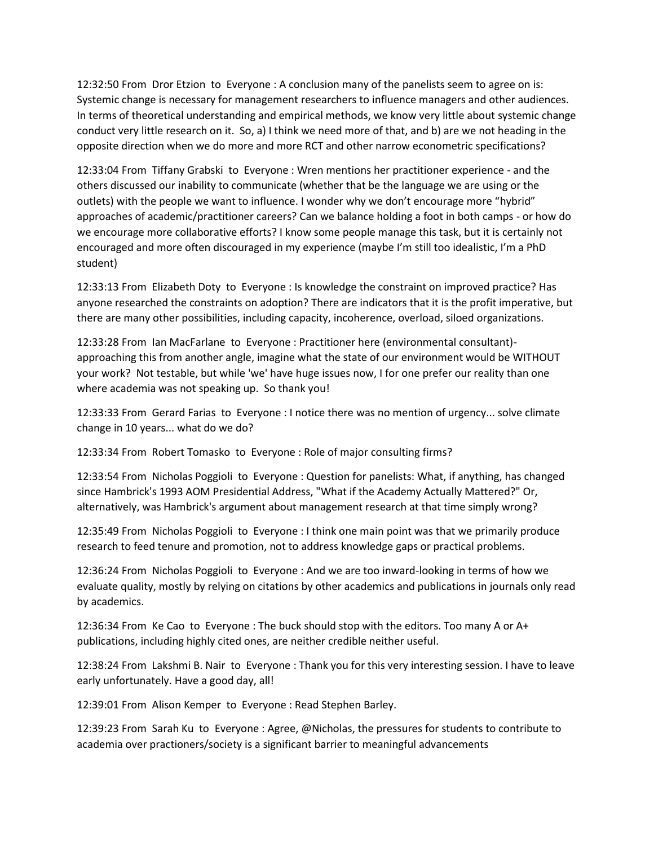12:32:50 From Dror Etzion to Everyone : A conclusion many of the panelists seem to agree on is: Systemic change is necessary for management researchers to influence managers and other audiences. In terms of theoretical understanding and empirical methods, we know very little about systemic change conduct very little research on it. So, a) I think we need more of that, and b) are we not heading in the opposite direction when we do more and more RCT and other narrow econometric specifications?

12:33:04 From Tiffany Grabski to Everyone : Wren mentions her practitioner experience - and the others discussed our inability to communicate (whether that be the language we are using or the outlets) with the people we want to influence. I wonder why we don't encourage more "hybrid" approaches of academic/practitioner careers? Can we balance holding a foot in both camps - or how do we encourage more collaborative efforts? I know some people manage this task, but it is certainly not encouraged and more often discouraged in my experience (maybe I'm still too idealistic, I'm a PhD student)

12:33:13 From Elizabeth Doty to Everyone : Is knowledge the constraint on improved practice? Has anyone researched the constraints on adoption? There are indicators that it is the profit imperative, but there are many other possibilities, including capacity, incoherence, overload, siloed organizations.

12:33:28 From Ian MacFarlane to Everyone : Practitioner here (environmental consultant) approaching this from another angle, imagine what the state of our environment would be WITHOUT your work? Not testable, but while 'we' have huge issues now, I for one prefer our reality than one where academia was not speaking up. So thank you!

12:33:33 From Gerard Farias to Everyone : I notice there was no mention of urgency... solve climate change in 10 years... what do we do?

12:33:34 From Robert Tomasko to Everyone : Role of major consulting firms?

12:33:54 From Nicholas Poggioli to Everyone : Question for panelists: What, if anything, has changed since Hambrick's 1993 AOM Presidential Address, "What if the Academy Actually Mattered?" Or, alternatively, was Hambrick's argument about management research at that time simply wrong?

12:35:49 From Nicholas Poggioli to Everyone : I think one main point was that we primarily produce research to feed tenure and promotion, not to address knowledge gaps or practical problems.

12:36:24 From Nicholas Poggioli to Everyone : And we are too inward-looking in terms of how we evaluate quality, mostly by relying on citations by other academics and publications in journals only read by academics.

12:36:34 From Ke Cao to Everyone : The buck should stop with the editors. Too many A or A+ publications, including highly cited ones, are neither credible neither useful.

12:38:24 From Lakshmi B. Nair to Everyone : Thank you for this very interesting session. I have to leave early unfortunately. Have a good day, all!

12:39:01 From Alison Kemper to Everyone : Read Stephen Barley.

12:39:23 From Sarah Ku to Everyone : Agree, @Nicholas, the pressures for students to contribute to academia over practioners/society is a significant barrier to meaningful advancements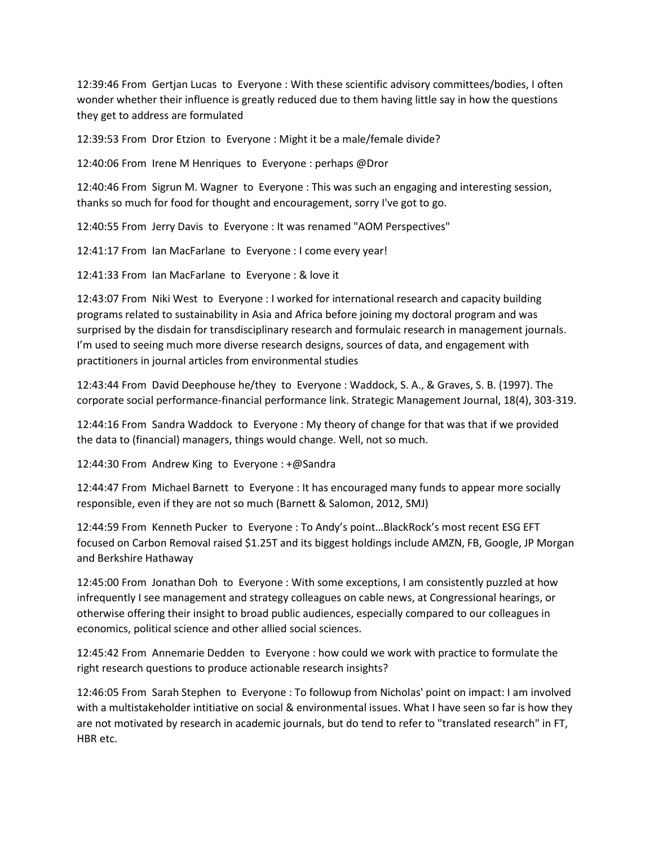12:39:46 From Gertjan Lucas to Everyone : With these scientific advisory committees/bodies, I often wonder whether their influence is greatly reduced due to them having little say in how the questions they get to address are formulated

12:39:53 From Dror Etzion to Everyone : Might it be a male/female divide?

12:40:06 From Irene M Henriques to Everyone : perhaps @Dror

12:40:46 From Sigrun M. Wagner to Everyone : This was such an engaging and interesting session, thanks so much for food for thought and encouragement, sorry I've got to go.

12:40:55 From Jerry Davis to Everyone : It was renamed "AOM Perspectives"

12:41:17 From Ian MacFarlane to Everyone : I come every year!

12:41:33 From Ian MacFarlane to Everyone : & love it

12:43:07 From Niki West to Everyone : I worked for international research and capacity building programs related to sustainability in Asia and Africa before joining my doctoral program and was surprised by the disdain for transdisciplinary research and formulaic research in management journals. I'm used to seeing much more diverse research designs, sources of data, and engagement with practitioners in journal articles from environmental studies

12:43:44 From David Deephouse he/they to Everyone : Waddock, S. A., & Graves, S. B. (1997). The corporate social performance-financial performance link. Strategic Management Journal, 18(4), 303-319.

12:44:16 From Sandra Waddock to Everyone : My theory of change for that was that if we provided the data to (financial) managers, things would change. Well, not so much.

12:44:30 From Andrew King to Everyone : +@Sandra

12:44:47 From Michael Barnett to Everyone : It has encouraged many funds to appear more socially responsible, even if they are not so much (Barnett & Salomon, 2012, SMJ)

12:44:59 From Kenneth Pucker to Everyone : To Andy's point…BlackRock's most recent ESG EFT focused on Carbon Removal raised \$1.25T and its biggest holdings include AMZN, FB, Google, JP Morgan and Berkshire Hathaway

12:45:00 From Jonathan Doh to Everyone : With some exceptions, I am consistently puzzled at how infrequently I see management and strategy colleagues on cable news, at Congressional hearings, or otherwise offering their insight to broad public audiences, especially compared to our colleagues in economics, political science and other allied social sciences.

12:45:42 From Annemarie Dedden to Everyone : how could we work with practice to formulate the right research questions to produce actionable research insights?

12:46:05 From Sarah Stephen to Everyone : To followup from Nicholas' point on impact: I am involved with a multistakeholder intitiative on social & environmental issues. What I have seen so far is how they are not motivated by research in academic journals, but do tend to refer to "translated research" in FT, HBR etc.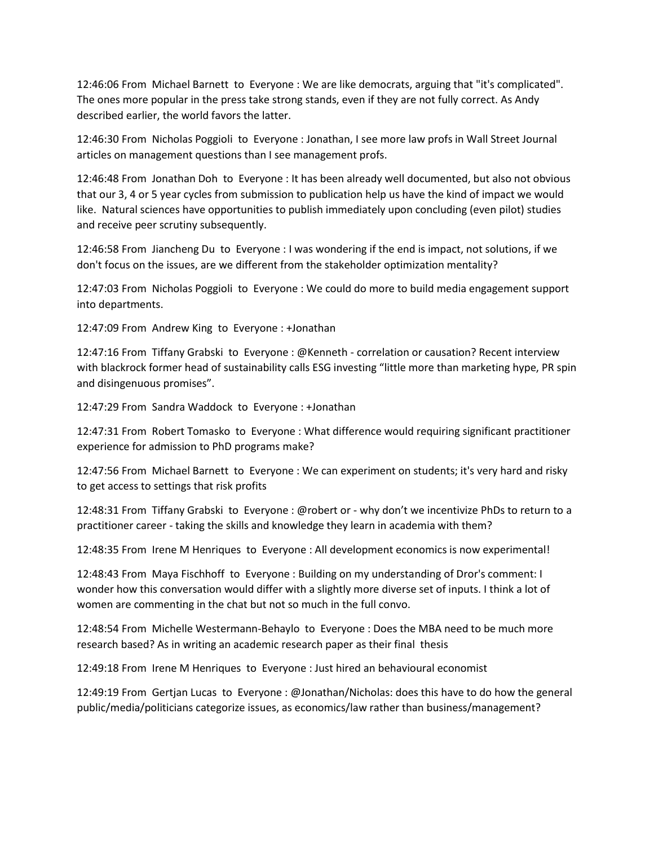12:46:06 From Michael Barnett to Everyone : We are like democrats, arguing that "it's complicated". The ones more popular in the press take strong stands, even if they are not fully correct. As Andy described earlier, the world favors the latter.

12:46:30 From Nicholas Poggioli to Everyone : Jonathan, I see more law profs in Wall Street Journal articles on management questions than I see management profs.

12:46:48 From Jonathan Doh to Everyone : It has been already well documented, but also not obvious that our 3, 4 or 5 year cycles from submission to publication help us have the kind of impact we would like. Natural sciences have opportunities to publish immediately upon concluding (even pilot) studies and receive peer scrutiny subsequently.

12:46:58 From Jiancheng Du to Everyone : I was wondering if the end is impact, not solutions, if we don't focus on the issues, are we different from the stakeholder optimization mentality?

12:47:03 From Nicholas Poggioli to Everyone : We could do more to build media engagement support into departments.

12:47:09 From Andrew King to Everyone : +Jonathan

12:47:16 From Tiffany Grabski to Everyone : @Kenneth - correlation or causation? Recent interview with blackrock former head of sustainability calls ESG investing "little more than marketing hype, PR spin and disingenuous promises".

12:47:29 From Sandra Waddock to Everyone : +Jonathan

12:47:31 From Robert Tomasko to Everyone : What difference would requiring significant practitioner experience for admission to PhD programs make?

12:47:56 From Michael Barnett to Everyone : We can experiment on students; it's very hard and risky to get access to settings that risk profits

12:48:31 From Tiffany Grabski to Everyone : @robert or - why don't we incentivize PhDs to return to a practitioner career - taking the skills and knowledge they learn in academia with them?

12:48:35 From Irene M Henriques to Everyone : All development economics is now experimental!

12:48:43 From Maya Fischhoff to Everyone : Building on my understanding of Dror's comment: I wonder how this conversation would differ with a slightly more diverse set of inputs. I think a lot of women are commenting in the chat but not so much in the full convo.

12:48:54 From Michelle Westermann-Behaylo to Everyone : Does the MBA need to be much more research based? As in writing an academic research paper as their final thesis

12:49:18 From Irene M Henriques to Everyone : Just hired an behavioural economist

12:49:19 From Gertjan Lucas to Everyone : @Jonathan/Nicholas: does this have to do how the general public/media/politicians categorize issues, as economics/law rather than business/management?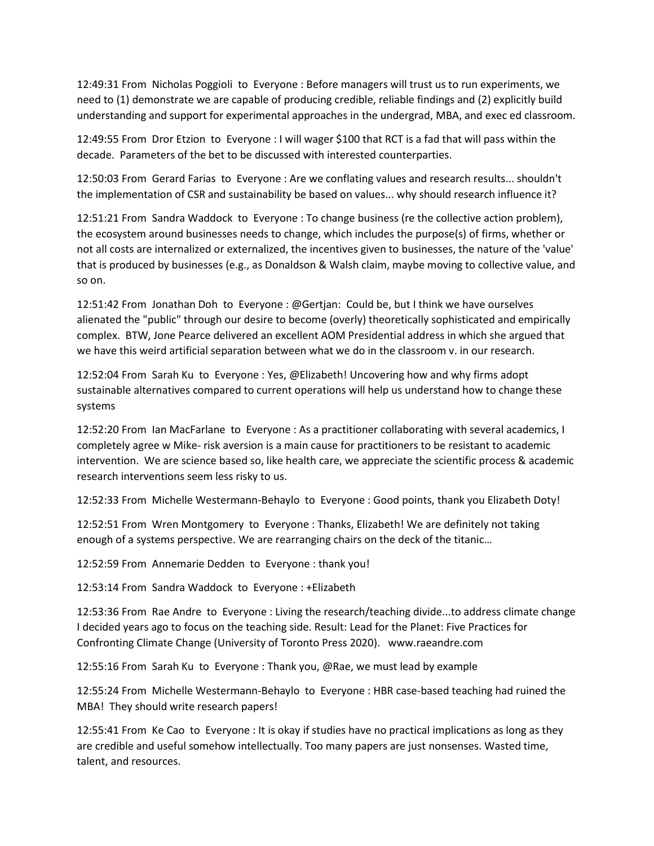12:49:31 From Nicholas Poggioli to Everyone : Before managers will trust us to run experiments, we need to (1) demonstrate we are capable of producing credible, reliable findings and (2) explicitly build understanding and support for experimental approaches in the undergrad, MBA, and exec ed classroom.

12:49:55 From Dror Etzion to Everyone : I will wager \$100 that RCT is a fad that will pass within the decade. Parameters of the bet to be discussed with interested counterparties.

12:50:03 From Gerard Farias to Everyone : Are we conflating values and research results... shouldn't the implementation of CSR and sustainability be based on values... why should research influence it?

12:51:21 From Sandra Waddock to Everyone : To change business (re the collective action problem), the ecosystem around businesses needs to change, which includes the purpose(s) of firms, whether or not all costs are internalized or externalized, the incentives given to businesses, the nature of the 'value' that is produced by businesses (e.g., as Donaldson & Walsh claim, maybe moving to collective value, and so on.

12:51:42 From Jonathan Doh to Everyone : @Gertjan: Could be, but I think we have ourselves alienated the "public" through our desire to become (overly) theoretically sophisticated and empirically complex. BTW, Jone Pearce delivered an excellent AOM Presidential address in which she argued that we have this weird artificial separation between what we do in the classroom v. in our research.

12:52:04 From Sarah Ku to Everyone : Yes, @Elizabeth! Uncovering how and why firms adopt sustainable alternatives compared to current operations will help us understand how to change these systems

12:52:20 From Ian MacFarlane to Everyone : As a practitioner collaborating with several academics, I completely agree w Mike- risk aversion is a main cause for practitioners to be resistant to academic intervention. We are science based so, like health care, we appreciate the scientific process & academic research interventions seem less risky to us.

12:52:33 From Michelle Westermann-Behaylo to Everyone : Good points, thank you Elizabeth Doty!

12:52:51 From Wren Montgomery to Everyone : Thanks, Elizabeth! We are definitely not taking enough of a systems perspective. We are rearranging chairs on the deck of the titanic…

12:52:59 From Annemarie Dedden to Everyone : thank you!

12:53:14 From Sandra Waddock to Everyone : +Elizabeth

12:53:36 From Rae Andre to Everyone : Living the research/teaching divide...to address climate change I decided years ago to focus on the teaching side. Result: Lead for the Planet: Five Practices for Confronting Climate Change (University of Toronto Press 2020). www.raeandre.com

12:55:16 From Sarah Ku to Everyone : Thank you, @Rae, we must lead by example

12:55:24 From Michelle Westermann-Behaylo to Everyone : HBR case-based teaching had ruined the MBA! They should write research papers!

12:55:41 From Ke Cao to Everyone : It is okay if studies have no practical implications as long as they are credible and useful somehow intellectually. Too many papers are just nonsenses. Wasted time, talent, and resources.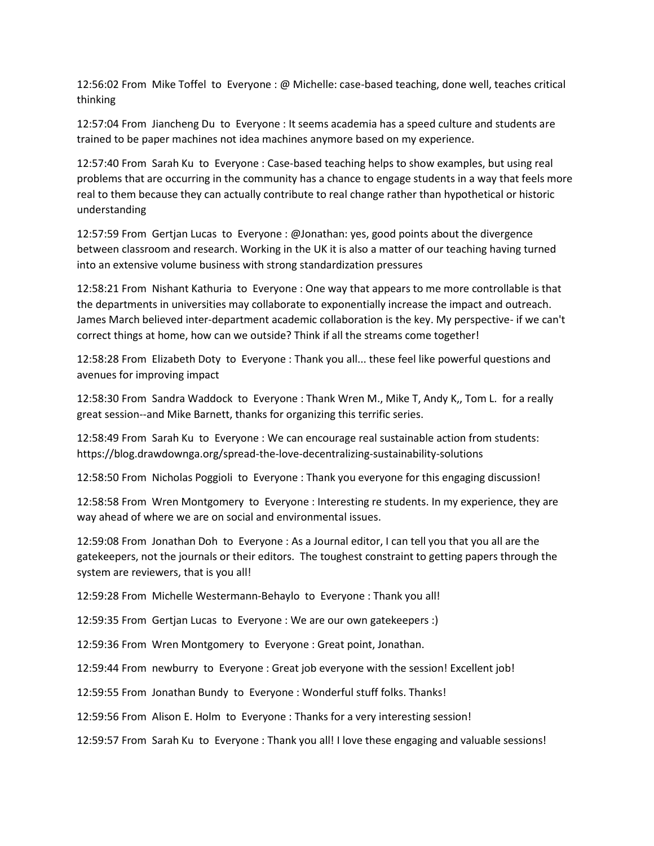12:56:02 From Mike Toffel to Everyone : @ Michelle: case-based teaching, done well, teaches critical thinking

12:57:04 From Jiancheng Du to Everyone : It seems academia has a speed culture and students are trained to be paper machines not idea machines anymore based on my experience.

12:57:40 From Sarah Ku to Everyone : Case-based teaching helps to show examples, but using real problems that are occurring in the community has a chance to engage students in a way that feels more real to them because they can actually contribute to real change rather than hypothetical or historic understanding

12:57:59 From Gertjan Lucas to Everyone : @Jonathan: yes, good points about the divergence between classroom and research. Working in the UK it is also a matter of our teaching having turned into an extensive volume business with strong standardization pressures

12:58:21 From Nishant Kathuria to Everyone : One way that appears to me more controllable is that the departments in universities may collaborate to exponentially increase the impact and outreach. James March believed inter-department academic collaboration is the key. My perspective- if we can't correct things at home, how can we outside? Think if all the streams come together!

12:58:28 From Elizabeth Doty to Everyone : Thank you all... these feel like powerful questions and avenues for improving impact

12:58:30 From Sandra Waddock to Everyone : Thank Wren M., Mike T, Andy K,, Tom L. for a really great session--and Mike Barnett, thanks for organizing this terrific series.

12:58:49 From Sarah Ku to Everyone : We can encourage real sustainable action from students: https://blog.drawdownga.org/spread-the-love-decentralizing-sustainability-solutions

12:58:50 From Nicholas Poggioli to Everyone : Thank you everyone for this engaging discussion!

12:58:58 From Wren Montgomery to Everyone : Interesting re students. In my experience, they are way ahead of where we are on social and environmental issues.

12:59:08 From Jonathan Doh to Everyone : As a Journal editor, I can tell you that you all are the gatekeepers, not the journals or their editors. The toughest constraint to getting papers through the system are reviewers, that is you all!

12:59:28 From Michelle Westermann-Behaylo to Everyone : Thank you all!

12:59:35 From Gertjan Lucas to Everyone : We are our own gatekeepers :)

12:59:36 From Wren Montgomery to Everyone : Great point, Jonathan.

12:59:44 From newburry to Everyone : Great job everyone with the session! Excellent job!

12:59:55 From Jonathan Bundy to Everyone : Wonderful stuff folks. Thanks!

12:59:56 From Alison E. Holm to Everyone : Thanks for a very interesting session!

12:59:57 From Sarah Ku to Everyone : Thank you all! I love these engaging and valuable sessions!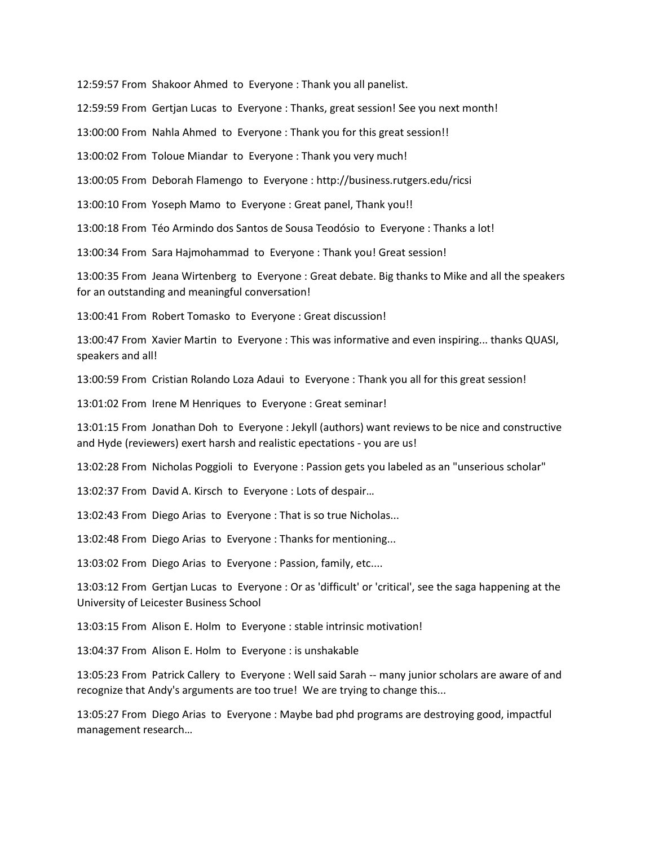12:59:57 From Shakoor Ahmed to Everyone : Thank you all panelist.

12:59:59 From Gertjan Lucas to Everyone : Thanks, great session! See you next month!

13:00:00 From Nahla Ahmed to Everyone : Thank you for this great session!!

13:00:02 From Toloue Miandar to Everyone : Thank you very much!

13:00:05 From Deborah Flamengo to Everyone : http://business.rutgers.edu/ricsi

13:00:10 From Yoseph Mamo to Everyone : Great panel, Thank you!!

13:00:18 From Téo Armindo dos Santos de Sousa Teodósio to Everyone : Thanks a lot!

13:00:34 From Sara Hajmohammad to Everyone : Thank you! Great session!

13:00:35 From Jeana Wirtenberg to Everyone : Great debate. Big thanks to Mike and all the speakers for an outstanding and meaningful conversation!

13:00:41 From Robert Tomasko to Everyone : Great discussion!

13:00:47 From Xavier Martin to Everyone : This was informative and even inspiring... thanks QUASI, speakers and all!

13:00:59 From Cristian Rolando Loza Adaui to Everyone : Thank you all for this great session!

13:01:02 From Irene M Henriques to Everyone : Great seminar!

13:01:15 From Jonathan Doh to Everyone : Jekyll (authors) want reviews to be nice and constructive and Hyde (reviewers) exert harsh and realistic epectations - you are us!

13:02:28 From Nicholas Poggioli to Everyone : Passion gets you labeled as an "unserious scholar"

13:02:37 From David A. Kirsch to Everyone : Lots of despair…

13:02:43 From Diego Arias to Everyone : That is so true Nicholas...

13:02:48 From Diego Arias to Everyone : Thanks for mentioning...

13:03:02 From Diego Arias to Everyone : Passion, family, etc....

13:03:12 From Gertjan Lucas to Everyone : Or as 'difficult' or 'critical', see the saga happening at the University of Leicester Business School

13:03:15 From Alison E. Holm to Everyone : stable intrinsic motivation!

13:04:37 From Alison E. Holm to Everyone : is unshakable

13:05:23 From Patrick Callery to Everyone : Well said Sarah -- many junior scholars are aware of and recognize that Andy's arguments are too true! We are trying to change this...

13:05:27 From Diego Arias to Everyone : Maybe bad phd programs are destroying good, impactful management research…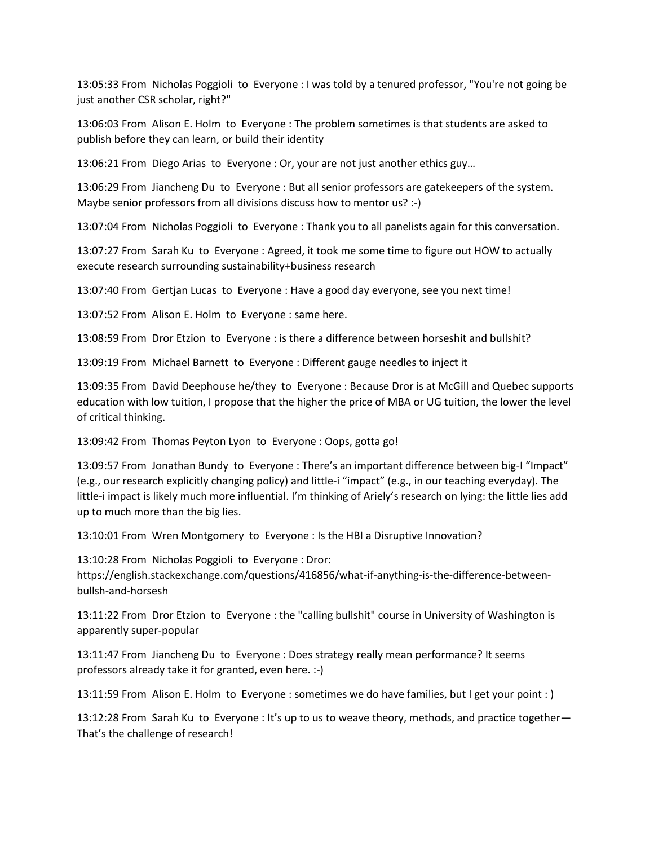13:05:33 From Nicholas Poggioli to Everyone : I was told by a tenured professor, "You're not going be just another CSR scholar, right?"

13:06:03 From Alison E. Holm to Everyone : The problem sometimes is that students are asked to publish before they can learn, or build their identity

13:06:21 From Diego Arias to Everyone : Or, your are not just another ethics guy…

13:06:29 From Jiancheng Du to Everyone : But all senior professors are gatekeepers of the system. Maybe senior professors from all divisions discuss how to mentor us? :-)

13:07:04 From Nicholas Poggioli to Everyone : Thank you to all panelists again for this conversation.

13:07:27 From Sarah Ku to Everyone : Agreed, it took me some time to figure out HOW to actually execute research surrounding sustainability+business research

13:07:40 From Gertjan Lucas to Everyone : Have a good day everyone, see you next time!

13:07:52 From Alison E. Holm to Everyone : same here.

13:08:59 From Dror Etzion to Everyone : is there a difference between horseshit and bullshit?

13:09:19 From Michael Barnett to Everyone : Different gauge needles to inject it

13:09:35 From David Deephouse he/they to Everyone : Because Dror is at McGill and Quebec supports education with low tuition, I propose that the higher the price of MBA or UG tuition, the lower the level of critical thinking.

13:09:42 From Thomas Peyton Lyon to Everyone : Oops, gotta go!

13:09:57 From Jonathan Bundy to Everyone : There's an important difference between big-I "Impact" (e.g., our research explicitly changing policy) and little-i "impact" (e.g., in our teaching everyday). The little-i impact is likely much more influential. I'm thinking of Ariely's research on lying: the little lies add up to much more than the big lies.

13:10:01 From Wren Montgomery to Everyone : Is the HBI a Disruptive Innovation?

13:10:28 From Nicholas Poggioli to Everyone : Dror: https://english.stackexchange.com/questions/416856/what-if-anything-is-the-difference-betweenbullsh-and-horsesh

13:11:22 From Dror Etzion to Everyone : the "calling bullshit" course in University of Washington is apparently super-popular

13:11:47 From Jiancheng Du to Everyone : Does strategy really mean performance? It seems professors already take it for granted, even here. :-)

13:11:59 From Alison E. Holm to Everyone : sometimes we do have families, but I get your point : )

13:12:28 From Sarah Ku to Everyone : It's up to us to weave theory, methods, and practice together— That's the challenge of research!